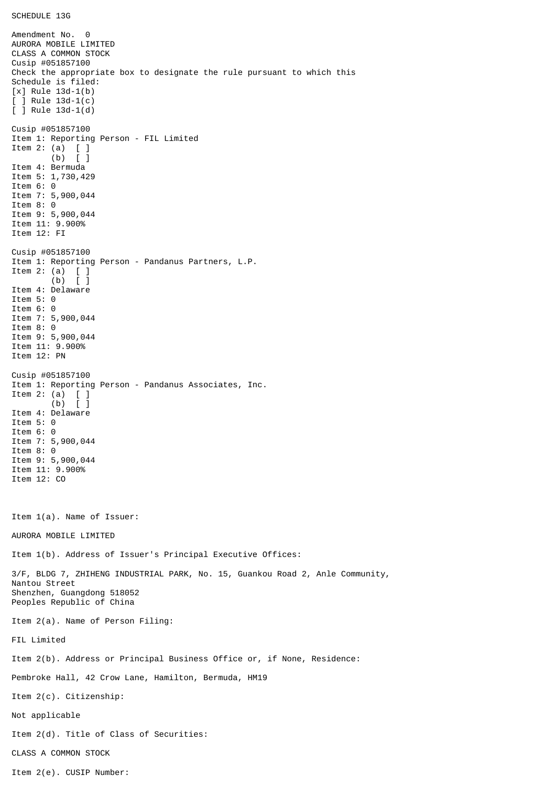## SCHEDULE 13G

Amendment No. 0 AURORA MOBILE LIMITED CLASS A COMMON STOCK Cusip #051857100 Check the appropriate box to designate the rule pursuant to which this Schedule is filed: [x] Rule 13d-1(b)  $\lceil$   $\rceil$  Rule 13d-1(c) [ ] Rule 13d-1(d) Cusip #051857100 Item 1: Reporting Person - FIL Limited Item 2: (a) [ ] (b) [ ] Item 4: Bermuda Item 5: 1,730,429 Item 6: 0 Item 7: 5,900,044 Item 8: 0 Item 9: 5,900,044 Item 11: 9.900% Item 12: FI Cusip #051857100 Item 1: Reporting Person - Pandanus Partners, L.P. Item 2: (a)  $[$   $]$ <br>(b)  $[$   $]$  (b) [ ] Item 4: Delaware Item 5: 0 Item 6: 0 Item 7: 5,900,044 Item 8: 0 Item 9: 5,900,044 Item 11: 9.900% Item 12: PN Cusip #051857100 Item 1: Reporting Person - Pandanus Associates, Inc. Item 2: (a) [ ] (b) [ ] Item 4: Delaware Item 5: 0 Item 6: 0 Item 7: 5,900,044 Item 8: 0 Item 9: 5,900,044 Item 11: 9.900% Item 12: CO Item 1(a). Name of Issuer: AURORA MOBILE LIMITED Item 1(b). Address of Issuer's Principal Executive Offices: 3/F, BLDG 7, ZHIHENG INDUSTRIAL PARK, No. 15, Guankou Road 2, Anle Community, Nantou Street Shenzhen, Guangdong 518052 Peoples Republic of China Item 2(a). Name of Person Filing: FIL Limited Item 2(b). Address or Principal Business Office or, if None, Residence: Pembroke Hall, 42 Crow Lane, Hamilton, Bermuda, HM19 Item 2(c). Citizenship: Not applicable Item 2(d). Title of Class of Securities: CLASS A COMMON STOCK Item 2(e). CUSIP Number: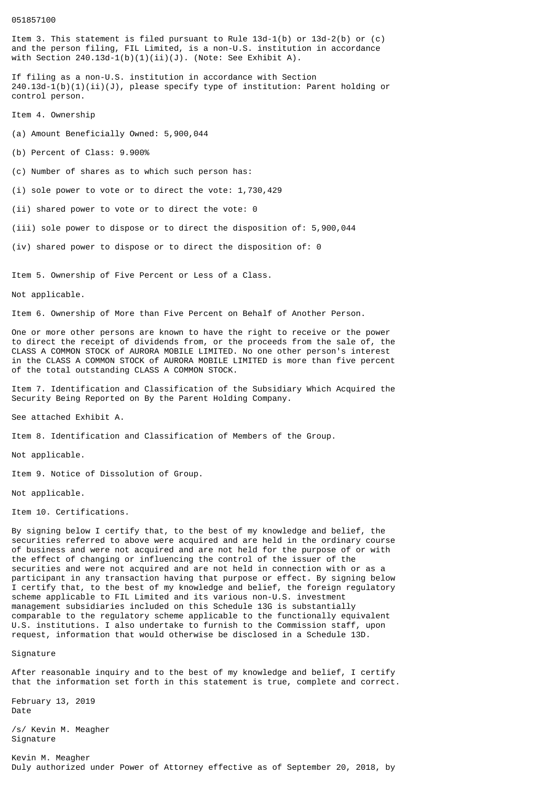## 051857100

Item 3. This statement is filed pursuant to Rule  $13d-1(b)$  or  $13d-2(b)$  or  $(c)$ and the person filing, FIL Limited, is a non-U.S. institution in accordance with Section  $240.13d-1(b)(1)(ii)(J)$ . (Note: See Exhibit A).

If filing as a non-U.S. institution in accordance with Section  $240.13d - 1(b)(1)(ii)(J)$ , please specify type of institution: Parent holding or control person.

Item 4. Ownership

(a) Amount Beneficially Owned: 5,900,044

(b) Percent of Class: 9.900%

(c) Number of shares as to which such person has:

(i) sole power to vote or to direct the vote: 1,730,429

(ii) shared power to vote or to direct the vote: 0

(iii) sole power to dispose or to direct the disposition of: 5,900,044

(iv) shared power to dispose or to direct the disposition of: 0

Item 5. Ownership of Five Percent or Less of a Class.

Not applicable.

Item 6. Ownership of More than Five Percent on Behalf of Another Person.

One or more other persons are known to have the right to receive or the power to direct the receipt of dividends from, or the proceeds from the sale of, the CLASS A COMMON STOCK of AURORA MOBILE LIMITED. No one other person's interest in the CLASS A COMMON STOCK of AURORA MOBILE LIMITED is more than five percent of the total outstanding CLASS A COMMON STOCK.

Item 7. Identification and Classification of the Subsidiary Which Acquired the Security Being Reported on By the Parent Holding Company.

See attached Exhibit A.

Item 8. Identification and Classification of Members of the Group.

Not applicable.

Item 9. Notice of Dissolution of Group.

Not applicable.

Item 10. Certifications.

By signing below I certify that, to the best of my knowledge and belief, the securities referred to above were acquired and are held in the ordinary course of business and were not acquired and are not held for the purpose of or with the effect of changing or influencing the control of the issuer of the securities and were not acquired and are not held in connection with or as a participant in any transaction having that purpose or effect. By signing below I certify that, to the best of my knowledge and belief, the foreign regulatory scheme applicable to FIL Limited and its various non-U.S. investment management subsidiaries included on this Schedule 13G is substantially comparable to the regulatory scheme applicable to the functionally equivalent U.S. institutions. I also undertake to furnish to the Commission staff, upon request, information that would otherwise be disclosed in a Schedule 13D.

Signature

After reasonable inquiry and to the best of my knowledge and belief, I certify that the information set forth in this statement is true, complete and correct.

February 13, 2019 Date

/s/ Kevin M. Meagher Signature